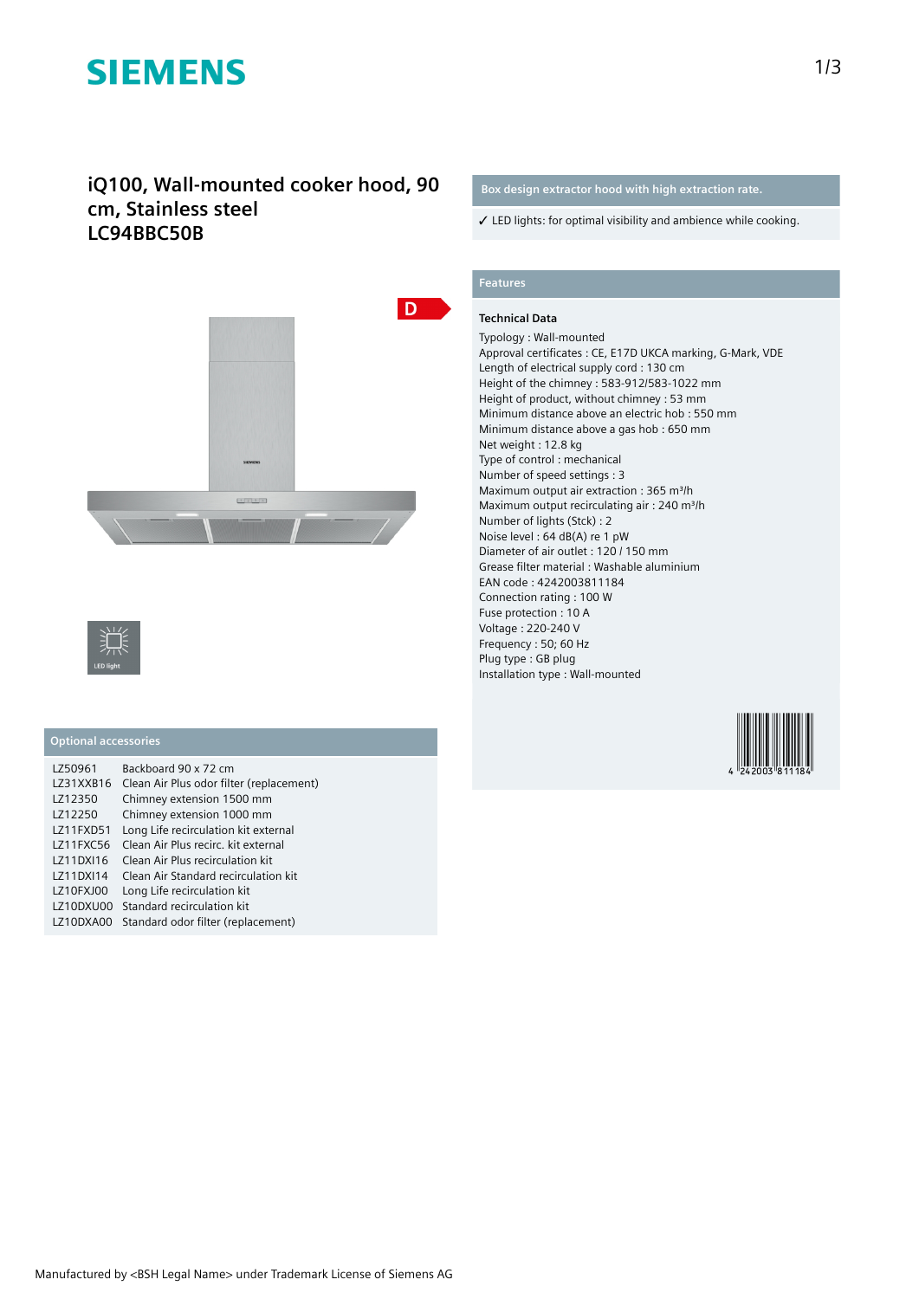# **SIEMENS**

### **iQ100, Wall-mounted cooker hood, 90 cm, Stainless steel LC94BBC50B**





#### **Optional accessories**

| LZ50961   | Backboard 90 x 72 cm                     |
|-----------|------------------------------------------|
| LZ31XXB16 | Clean Air Plus odor filter (replacement) |
| LZ12350   | Chimney extension 1500 mm                |
| LZ12250   | Chimney extension 1000 mm                |
| LZ11FXD51 | Long Life recirculation kit external     |
| LZ11FXC56 | Clean Air Plus recirc, kit external      |
| LZ11DXI16 | Clean Air Plus recirculation kit         |
| LZ11DXI14 | Clean Air Standard recirculation kit     |
| LZ10FXJ00 | Long Life recirculation kit              |
| LZ10DXU00 | Standard recirculation kit               |
| LZ10DXA00 | Standard odor filter (replacement)       |

### **Box design extractor hood with high extraction rate.**

✓ LED lights: for optimal visibility and ambience while cooking.

### **Features**

#### **Technical Data**

Typology : Wall-mounted Approval certificates : CE, E17D UKCA marking, G-Mark, VDE Length of electrical supply cord : 130 cm Height of the chimney : 583-912/583-1022 mm Height of product, without chimney : 53 mm Minimum distance above an electric hob : 550 mm Minimum distance above a gas hob : 650 mm Net weight : 12.8 kg Type of control : mechanical Number of speed settings : 3 Maximum output air extraction : 365 m<sup>3</sup>/h Maximum output recirculating air : 240 m<sup>3</sup>/h Number of lights (Stck) : 2 Noise level : 64 dB(A) re 1 pW Diameter of air outlet : 120 / 150 mm Grease filter material : Washable aluminium EAN code : 4242003811184 Connection rating : 100 W Fuse protection : 10 A Voltage : 220-240 V Frequency : 50; 60 Hz Plug type : GB plug Installation type : Wall-mounted

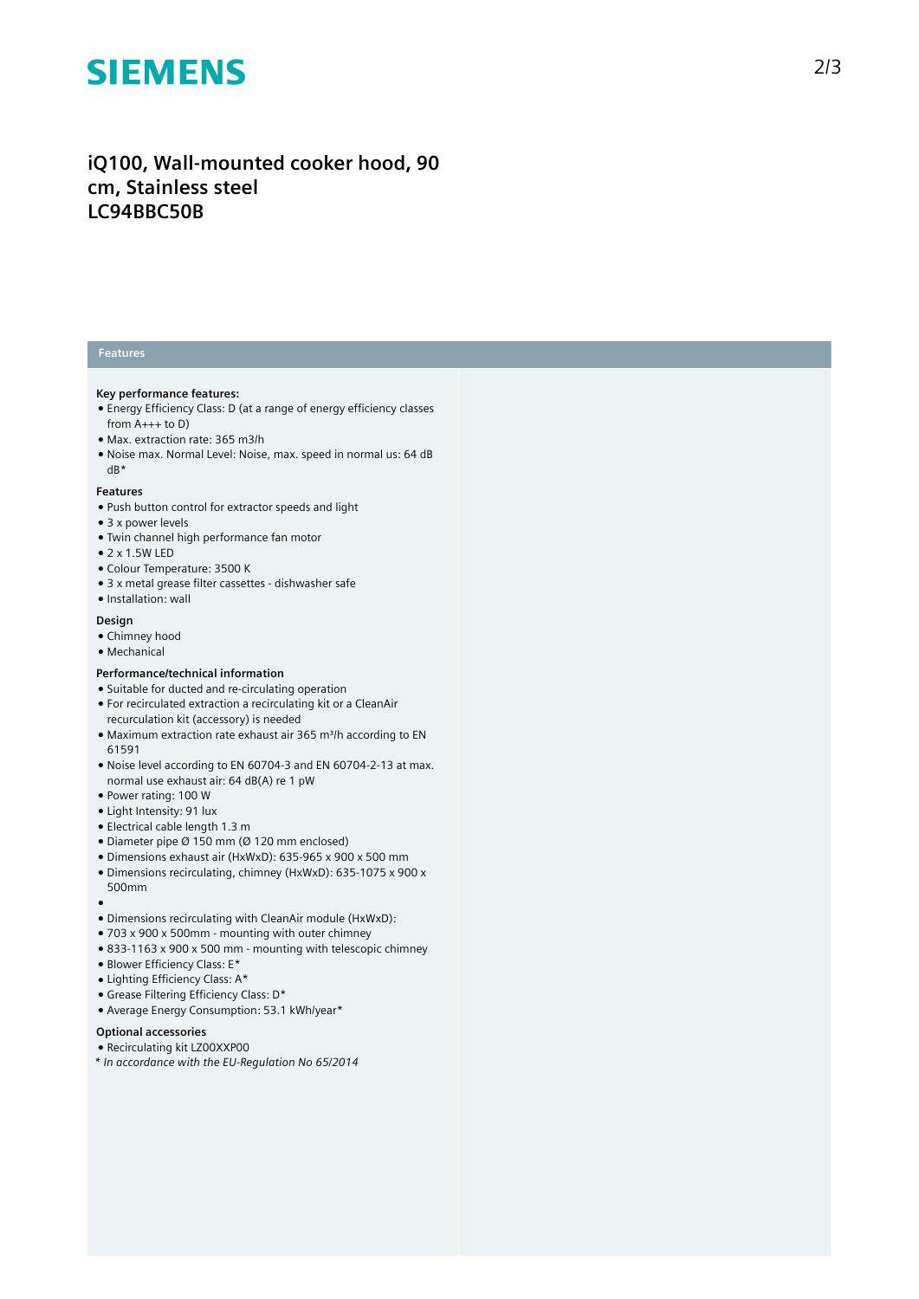# **SIEMENS**

## iQ100, Wall-mounted cooker hood, 90 cm, Stainless steel **LC94BBC50B**

#### **Features**

#### **Key performance features:**

- Energy Efficiency Class: D (at a range of energy efficiency classes from A+++ to D)
- Max. extraction rate: 365 m3/h
- Noise max. Normal Level: Noise, max. speed in normal us: 64 dB dB\*

#### **Features**

- Push button control for extractor speeds and light
- 3 x power levels
- Twin channel high performance fan motor
- 2 x 1.5W LED
- Colour Temperature: 3500 K
- 3 x metal grease filter cassettes dishwasher safe
- Installation: wall

#### **Design**

- Chimney hood
- Mechanical

#### Performance/technical information

- Suitable for ducted and re-circulating operation
- For recirculated extraction a recirculating kit or a CleanAir recurculation kit (accessory) is needed
- Maximum extraction rate exhaust air 365 m<sup>3</sup>/h according to EN 61591
- Noise level according to EN 60704-3 and EN 60704-2-13 at max. normal use exhaust air: 64 dB(A) re 1 pW
- Power rating: 100 W
- Light Intensity: 91 lux
- Electrical cable length 1.3 m
- Diameter pipe  $\varnothing$  150 mm ( $\varnothing$  120 mm enclosed)
- Dimensions exhaust air (HxWxD): 635-965 x 900 x 500 mm
- Dimensions recirculating, chimney (HxWxD): 635-1075 x 900 x 500mm
- ●<br>● Dimensions recirculating with CleanAir module (HxWxD):
- $\bullet$  703 x 900 x 500mm mounting with outer chimney
- $\bullet$  833-1163 x 900 x 500 mm mounting with telescopic chimney
- Blower Efficiency Class: E\*
- Lighting Efficiency Class: A\*
- Grease Filtering Efficiency Class: D\*
- Average Energy Consumption: 53.1 kWh/year\*

#### Optional accessories

- Recirculating kit LZ00XXP00
- *\* In accordance with the EU-Regulation No 65/2014*